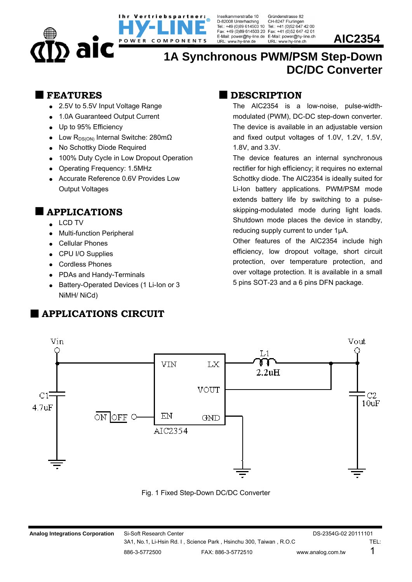Inselkammerstraße 10 D-82008 Unterhaching Tel : +49 (0)89 614503 10 Tel : +41 (0)52 647 42 00 Fax: +49 (0)89 614503 20 Fax: +41 (0)52 647 42 01<br>E-Mail: power@hy-line.de E-Mail: power@hy-line.ch<br>URL: www.hy-line.de URL: www.hy-line.ch **AIC2354** 

ebspartner:

COMPONENTS

Gründenstrasse 82 CH-8247 Flurlingen

## **1A Synchronous PWM/PSM Step-Down DC/DC Converter**

### **FEATURES**

- 2.5V to 5.5V Input Voltage Range
- 1.0A Guaranteed Output Current
- Up to 95% Efficiency

) alc

- Low  $R_{DS(ON)}$  Internal Switche: 280m $\Omega$
- No Schottky Diode Required
- 100% Duty Cycle in Low Dropout Operation

POWER

- Operating Frequency: 1.5MHz
- Accurate Reference 0.6V Provides Low Output Voltages

## **APPLICATIONS**

- . LCD TV
- Multi-function Peripheral
- Cellular Phones
- CPU I/O Supplies
- Cordless Phones
- PDAs and Handy-Terminals
- Battery-Operated Devices (1 Li-Ion or 3 NiMH/ NiCd)

## **APPLICATIONS CIRCUIT**

## **DESCRIPTION**

The AIC2354 is a low-noise, pulse-widthmodulated (PWM), DC-DC step-down converter. The device is available in an adjustable version and fixed output voltages of 1.0V, 1.2V, 1.5V, 1.8V, and 3.3V.

The device features an internal synchronous rectifier for high efficiency; it requires no external Schottky diode. The AIC2354 is ideally suited for Li-Ion battery applications. PWM/PSM mode extends battery life by switching to a pulseskipping-modulated mode during light loads. Shutdown mode places the device in standby, reducing supply current to under 1µA.

Other features of the AIC2354 include high efficiency, low dropout voltage, short circuit protection, over temperature protection, and over voltage protection. It is available in a small 5 pins SOT-23 and a 6 pins DFN package.



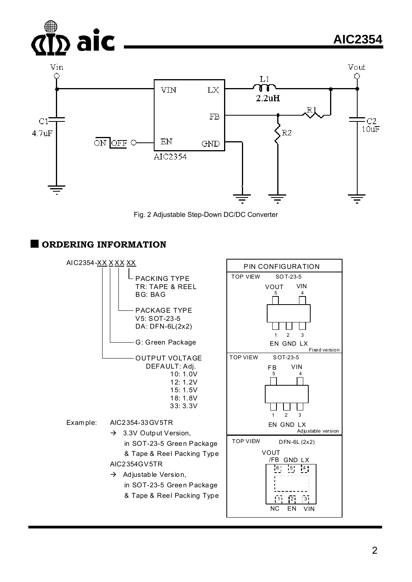



#### **ORDERING INFORMATION**

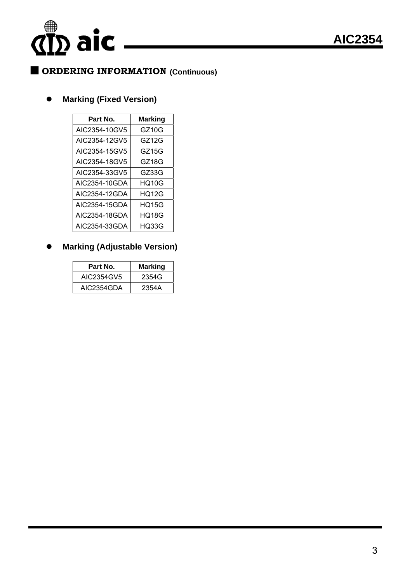## $\sum \text{aic}$

## **ORDERING INFORMATION (Continuous)**

### **Marking (Fixed Version)**

| Part No.      | <b>Marking</b> |
|---------------|----------------|
| AIC2354-10GV5 | GZ10G          |
| AIC2354-12GV5 | GZ12G          |
| AIC2354-15GV5 | GZ15G          |
| AIC2354-18GV5 | GZ18G          |
| AIC2354-33GV5 | GZ33G          |
| AIC2354-10GDA | HO10G          |
| AIC2354-12GDA | <b>HQ12G</b>   |
| AIC2354-15GDA | HQ15G          |
| AIC2354-18GDA | HQ18G          |
| AIC2354-33GDA | HQ33G          |

### **Marking (Adjustable Version)**

| Part No.   | <b>Marking</b> |
|------------|----------------|
| AIC2354GV5 | 2354G          |
| AIC2354GDA | 2354A          |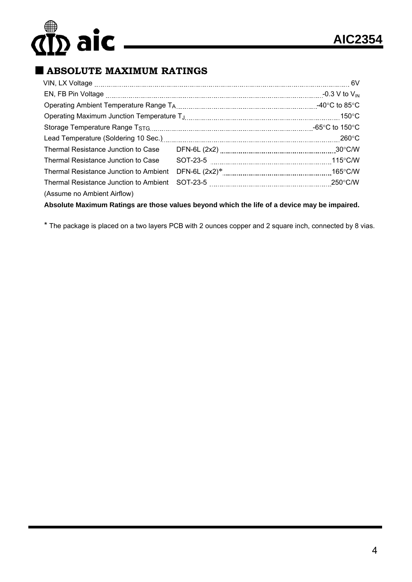# **AIC** <u>AIC2354</u>

## **ABSOLUTE MAXIMUM RATINGS**

|                                        | -0.3 V to $\rm V_{\rm IN}$                |
|----------------------------------------|-------------------------------------------|
|                                        | -40 $\rm ^{\circ}C$ to 85 $\rm ^{\circ}C$ |
|                                        |                                           |
|                                        | -65°C to 150°C                            |
|                                        | $260^{\circ}$ C                           |
| Thermal Resistance Junction to Case    |                                           |
| Thermal Resistance Junction to Case    |                                           |
| Thermal Resistance Junction to Ambient |                                           |
| Thermal Resistance Junction to Ambient |                                           |
| (Assume no Ambient Airflow)            |                                           |
|                                        |                                           |

**Absolute Maximum Ratings are those values beyond which the life of a device may be impaired.** 

\* The package is placed on a two layers PCB with 2 ounces copper and 2 square inch, connected by 8 vias.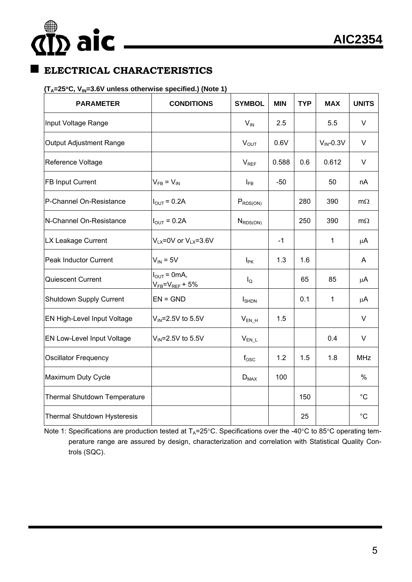# **AIC** <u>AIC2354</u>

## **ELECTRICAL CHARACTERISTICS**

#### **(TA=25C, VIN=3.6V unless otherwise specified.) (Note 1)**

| <b>PARAMETER</b>             | <b>CONDITIONS</b>                                            | <b>SYMBOL</b>     | <b>MIN</b> | <b>TYP</b> | <b>MAX</b>      | <b>UNITS</b> |
|------------------------------|--------------------------------------------------------------|-------------------|------------|------------|-----------------|--------------|
| Input Voltage Range          |                                                              | $V_{IN}$          | 2.5        |            | 5.5             | $\vee$       |
| Output Adjustment Range      |                                                              | $V_{OUT}$         | 0.6V       |            | $V_{IN} - 0.3V$ | V            |
| Reference Voltage            |                                                              | $V_{REF}$         | 0.588      | 0.6        | 0.612           | V            |
| FB Input Current             | $V_{FB} = V_{IN}$                                            | $I_{FB}$          | $-50$      |            | 50              | nA           |
| P-Channel On-Resistance      | $I_{\text{OUT}} = 0.2A$                                      | $P_{RDS(ON)}$     |            | 280        | 390             | $m\Omega$    |
| N-Channel On-Resistance      | $I_{\text{OUT}} = 0.2A$                                      | $N_{RDS(ON)}$     |            | 250        | 390             | $m\Omega$    |
| LX Leakage Current           | $V_{LX}$ =0V or $V_{LX}$ =3.6V                               |                   | $-1$       |            | $\mathbf 1$     | μA           |
| Peak Inductor Current        | $V_{IN} = 5V$                                                | $I_{\text{PK}}$   | 1.3        | 1.6        |                 | A            |
| Quiescent Current            | $I_{\text{OUT}} = 0 \text{mA}$ ,<br>$V_{FB} = V_{REF} + 5\%$ | $I_{\mathsf{Q}}$  |            | 65         | 85              | μA           |
| Shutdown Supply Current      | $EN = GND$                                                   | $I_{\text{SHDN}}$ |            | 0.1        | $\mathbf{1}$    | $\mu$ A      |
| EN High-Level Input Voltage  | $V_{IN} = 2.5V$ to 5.5V                                      | $V_{EN_H}$        | 1.5        |            |                 | $\vee$       |
| EN Low-Level Input Voltage   | $V_{\text{IN}}$ =2.5V to 5.5V                                | $V_{EN\_L}$       |            |            | 0.4             | $\vee$       |
| <b>Oscillator Frequency</b>  |                                                              | $f_{\rm osc}$     | 1.2        | 1.5        | 1.8             | <b>MHz</b>   |
| Maximum Duty Cycle           |                                                              | $D_{MAX}$         | 100        |            |                 | $\%$         |
| Thermal Shutdown Temperature |                                                              |                   |            | 150        |                 | $^{\circ}C$  |
| Thermal Shutdown Hysteresis  |                                                              |                   |            | 25         |                 | $^{\circ}C$  |

Note 1: Specifications are production tested at  $T_A=25^{\circ}$ C. Specifications over the -40°C to 85°C operating temperature range are assured by design, characterization and correlation with Statistical Quality Controls (SQC).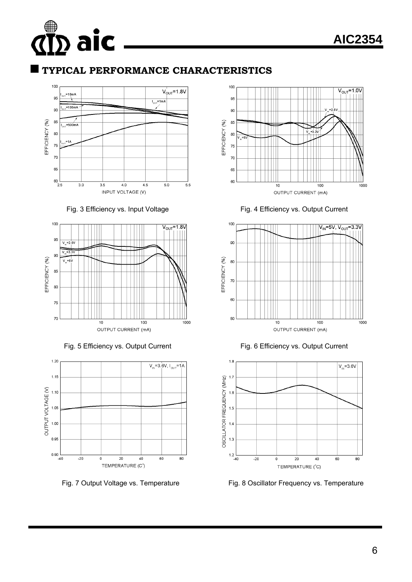## **TYPICAL PERFORMANCE CHARACTERISTICS**



Fig. 3 Efficiency vs. Input Voltage Fig. 4 Efficiency vs. Output Current









Fig. 5 Efficiency vs. Output Current Fig. 6 Efficiency vs. Output Current



Fig. 7 Output Voltage vs. Temperature Fig. 8 Oscillator Frequency vs. Temperature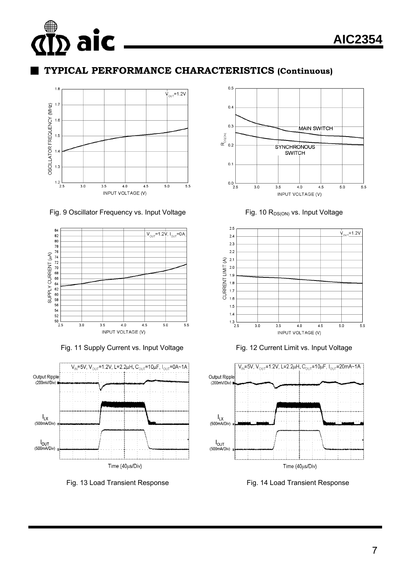## **TYPICAL PERFORMANCE CHARACTERISTICS (Continuous)**



#### Fig. 9 Oscillator Frequency vs. Input Voltage  $Fig. 10 R_{DS(ON)}$  vs. Input Voltage





Fig. 13 Load Transient Response Fig. 14 Load Transient Response





Fig. 11 Supply Current vs. Input Voltage Fig. 12 Current Limit vs. Input Voltage

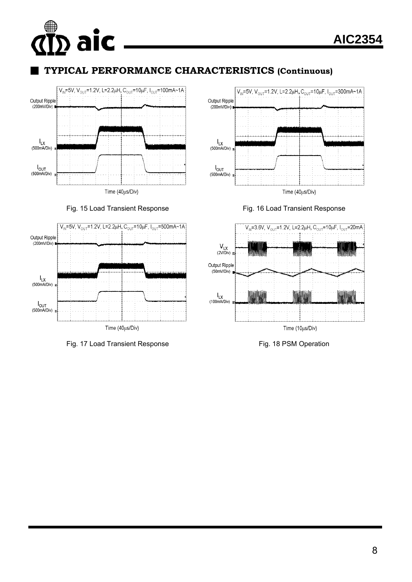## **AIC AIC2354**

## **TYPICAL PERFORMANCE CHARACTERISTICS (Continuous)**



Fig. 15 Load Transient Response Fig. 16 Load Transient Response



Fig. 17 Load Transient Response Fig. 18 PSM Operation



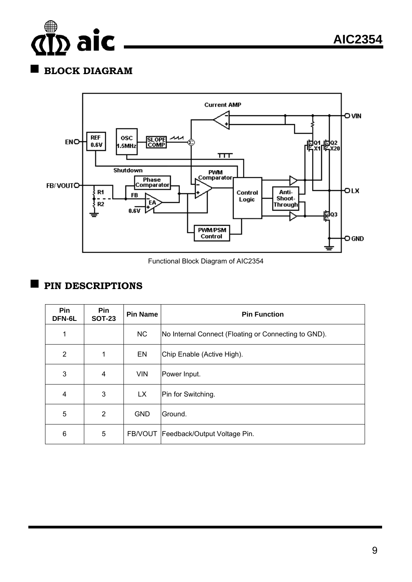

## **BLOCK DIAGRAM**



Functional Block Diagram of AIC2354

## **PIN DESCRIPTIONS**

| Pin<br>DFN-6L  | Pin<br><b>SOT-23</b> | <b>Pin Name</b> | <b>Pin Function</b>                                  |
|----------------|----------------------|-----------------|------------------------------------------------------|
| 1              |                      | <b>NC</b>       | No Internal Connect (Floating or Connecting to GND). |
| $\overline{2}$ | 1                    | EN              | Chip Enable (Active High).                           |
| 3              | 4                    | <b>VIN</b>      | Power Input.                                         |
| 4              | 3                    | <b>LX</b>       | Pin for Switching.                                   |
| 5              | $\overline{2}$       | <b>GND</b>      | Ground.                                              |
| 6              | 5                    |                 | FB/VOUT   Feedback/Output Voltage Pin.               |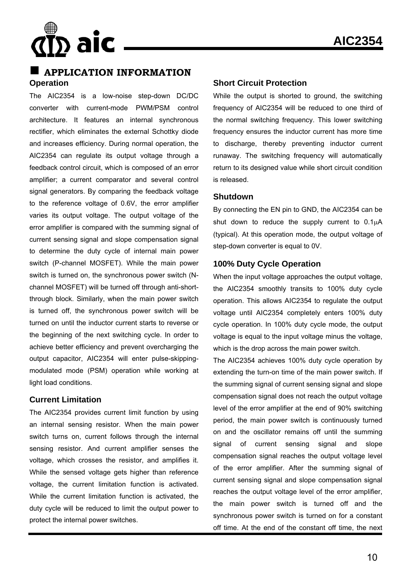

#### **APPLICATION INFORMATION Operation**

The AIC2354 is a low-noise step-down DC/DC converter with current-mode PWM/PSM control architecture. It features an internal synchronous rectifier, which eliminates the external Schottky diode and increases efficiency. During normal operation, the AIC2354 can regulate its output voltage through a feedback control circuit, which is composed of an error amplifier; a current comparator and several control signal generators. By comparing the feedback voltage to the reference voltage of 0.6V, the error amplifier varies its output voltage. The output voltage of the error amplifier is compared with the summing signal of current sensing signal and slope compensation signal to determine the duty cycle of internal main power switch (P-channel MOSFET). While the main power switch is turned on, the synchronous power switch (Nchannel MOSFET) will be turned off through anti-shortthrough block. Similarly, when the main power switch is turned off, the synchronous power switch will be turned on until the inductor current starts to reverse or the beginning of the next switching cycle. In order to achieve better efficiency and prevent overcharging the output capacitor, AIC2354 will enter pulse-skippingmodulated mode (PSM) operation while working at light load conditions.

#### **Current Limitation**

The AIC2354 provides current limit function by using an internal sensing resistor. When the main power switch turns on, current follows through the internal sensing resistor. And current amplifier senses the voltage, which crosses the resistor, and amplifies it. While the sensed voltage gets higher than reference voltage, the current limitation function is activated. While the current limitation function is activated, the duty cycle will be reduced to limit the output power to protect the internal power switches.

#### **Short Circuit Protection**

While the output is shorted to ground, the switching frequency of AIC2354 will be reduced to one third of the normal switching frequency. This lower switching frequency ensures the inductor current has more time to discharge, thereby preventing inductor current runaway. The switching frequency will automatically return to its designed value while short circuit condition is released.

#### **Shutdown**

By connecting the EN pin to GND, the AIC2354 can be shut down to reduce the supply current to  $0.1\mu A$ (typical). At this operation mode, the output voltage of step-down converter is equal to 0V.

#### **100% Duty Cycle Operation**

When the input voltage approaches the output voltage, the AIC2354 smoothly transits to 100% duty cycle operation. This allows AIC2354 to regulate the output voltage until AIC2354 completely enters 100% duty cycle operation. In 100% duty cycle mode, the output voltage is equal to the input voltage minus the voltage, which is the drop across the main power switch.

The AIC2354 achieves 100% duty cycle operation by extending the turn-on time of the main power switch. If the summing signal of current sensing signal and slope compensation signal does not reach the output voltage level of the error amplifier at the end of 90% switching period, the main power switch is continuously turned on and the oscillator remains off until the summing signal of current sensing signal and slope compensation signal reaches the output voltage level of the error amplifier. After the summing signal of current sensing signal and slope compensation signal reaches the output voltage level of the error amplifier, the main power switch is turned off and the synchronous power switch is turned on for a constant off time. At the end of the constant off time, the next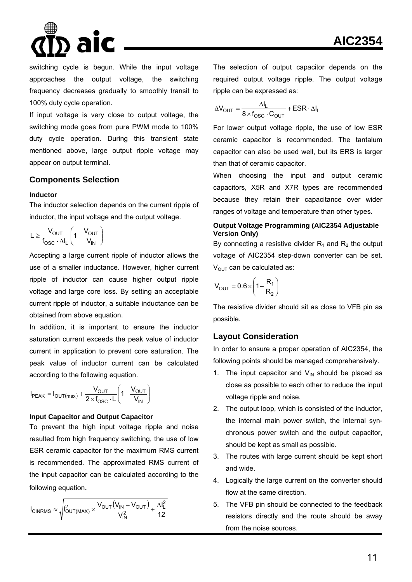## **AIC2354**

switching cycle is begun. While the input voltage approaches the output voltage, the switching frequency decreases gradually to smoothly transit to 100% duty cycle operation.

If input voltage is very close to output voltage, the switching mode goes from pure PWM mode to 100% duty cycle operation. During this transient state mentioned above, large output ripple voltage may appear on output terminal.

#### **Components Selection**

#### **Inductor**

The inductor selection depends on the current ripple of inductor, the input voltage and the output voltage.

$$
L \geq \frac{V_{OUT}}{f_{OSC} \cdot \Delta I_L} \left(1 - \frac{V_{OUT}}{V_{IN}}\right)
$$

Accepting a large current ripple of inductor allows the use of a smaller inductance. However, higher current ripple of inductor can cause higher output ripple voltage and large core loss. By setting an acceptable current ripple of inductor, a suitable inductance can be obtained from above equation.

In addition, it is important to ensure the inductor saturation current exceeds the peak value of inductor current in application to prevent core saturation. The peak value of inductor current can be calculated according to the following equation.

$$
I_{PEAK} = I_{OUT(max)} + \frac{V_{OUT}}{2 \times f_{OSC} \cdot L} \left(1 - \frac{V_{OUT}}{V_{IN}}\right)
$$

#### **Input Capacitor and Output Capacitor**

To prevent the high input voltage ripple and noise resulted from high frequency switching, the use of low ESR ceramic capacitor for the maximum RMS current is recommended. The approximated RMS current of the input capacitor can be calculated according to the following equation.

$$
I_{CINRMS} \approx \sqrt{I_{OUT(MAX)}^2 \times \frac{V_{OUT}(V_{IN} - V_{OUT})}{V_{IN}^2} + \frac{\Delta I_L^2}{12}}
$$

The selection of output capacitor depends on the required output voltage ripple. The output voltage ripple can be expressed as:

$$
\Delta V_{\text{OUT}} = \frac{\Delta I_{L}}{8 \times f_{\text{OSC}} \cdot C_{\text{OUT}}} + \text{ESR} \cdot \Delta I_{L}
$$

For lower output voltage ripple, the use of low ESR ceramic capacitor is recommended. The tantalum capacitor can also be used well, but its ERS is larger than that of ceramic capacitor.

When choosing the input and output ceramic capacitors, X5R and X7R types are recommended because they retain their capacitance over wider ranges of voltage and temperature than other types.

#### **Output Voltage Programming (AIC2354 Adjustable Version Only)**

By connecting a resistive divider  $R_1$  and  $R_2$  the output voltage of AIC2354 step-down converter can be set.  $V<sub>OUT</sub>$  can be calculated as:

$$
V_{OUT} = 0.6 \times \left(1 + \frac{R_1}{R_2}\right)
$$

The resistive divider should sit as close to VFB pin as possible.

#### **Layout Consideration**

In order to ensure a proper operation of AIC2354, the following points should be managed comprehensively.

- 1. The input capacitor and  $V_{\text{IN}}$  should be placed as close as possible to each other to reduce the input voltage ripple and noise.
- 2. The output loop, which is consisted of the inductor, the internal main power switch, the internal synchronous power switch and the output capacitor, should be kept as small as possible.
- 3. The routes with large current should be kept short and wide.
- 4. Logically the large current on the converter should flow at the same direction.
- 5. The VFB pin should be connected to the feedback resistors directly and the route should be away from the noise sources.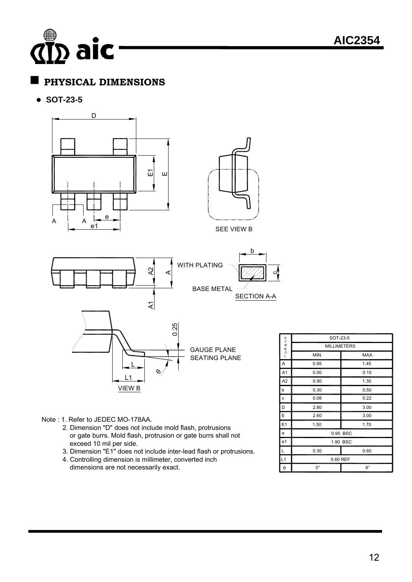## $\stackrel{\text{\tiny 3}}{\text{\tiny 2}}$  aic

## **PHYSICAL DIMENSIONS**

**SOT-23-5** 



Note : 1. Refer to JEDEC MO-178AA.

- 2. Dimension "D" does not include mold flash, protrusions or gate burrs. Mold flash, protrusion or gate burrs shall not exceed 10 mil per side.
- 3. Dimension "E1" does not include inter-lead flash or protrusions.
- 4. Controlling dimension is millimeter, converted inch dimensions are not necessarily exact.

|                       | MILLIMETERS |             |  |  |
|-----------------------|-------------|-------------|--|--|
| M<br>B<br>O<br>L      | MIN.        | MAX.        |  |  |
| Α                     | 0.95        | 1.45        |  |  |
| A <sub>1</sub>        | 0.00        | 0.15        |  |  |
| A2                    | 0.90        | 1.30        |  |  |
| b                     | 0.30        | 0.50        |  |  |
| ${\bf c}$             | 0.08        | 0.22        |  |  |
| D                     | 2.80        | 3.00        |  |  |
| E                     | 2.60        | 3.00        |  |  |
| E <sub>1</sub>        | 1.50        | 1.70        |  |  |
| e                     | 0.95 BSC    |             |  |  |
| e <sub>1</sub>        | 1.90 BSC    |             |  |  |
| L                     | 0.30        | 0.60        |  |  |
| L1                    | 0.60 REF    |             |  |  |
| $\boldsymbol{\theta}$ | $0^{\circ}$ | $8^{\circ}$ |  |  |
|                       |             |             |  |  |

SOT-23-5